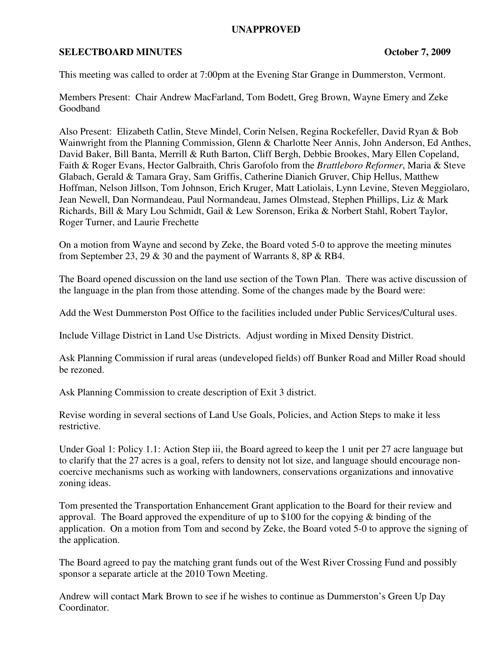## **UNAPPROVED**

## **SELECTBOARD MINUTES CONSUMINUTES CONSUMINUTES CONSUMINUTES**

This meeting was called to order at 7:00pm at the Evening Star Grange in Dummerston, Vermont.

Members Present: Chair Andrew MacFarland, Tom Bodett, Greg Brown, Wayne Emery and Zeke Goodband

Also Present: Elizabeth Catlin, Steve Mindel, Corin Nelsen, Regina Rockefeller, David Ryan & Bob Wainwright from the Planning Commission, Glenn & Charlotte Neer Annis, John Anderson, Ed Anthes, David Baker, Bill Banta, Merrill & Ruth Barton, Cliff Bergh, Debbie Brookes, Mary Ellen Copeland, Faith & Roger Evans, Hector Galbraith, Chris Garofolo from the *Brattleboro Reformer*, Maria & Steve Glabach, Gerald & Tamara Gray, Sam Griffis, Catherine Dianich Gruver, Chip Hellus, Matthew Hoffman, Nelson Jillson, Tom Johnson, Erich Kruger, Matt Latiolais, Lynn Levine, Steven Meggiolaro, Jean Newell, Dan Normandeau, Paul Normandeau, James Olmstead, Stephen Phillips, Liz & Mark Richards, Bill & Mary Lou Schmidt, Gail & Lew Sorenson, Erika & Norbert Stahl, Robert Taylor, Roger Turner, and Laurie Frechette

On a motion from Wayne and second by Zeke, the Board voted 5-0 to approve the meeting minutes from September 23, 29 & 30 and the payment of Warrants 8, 8P & RB4.

The Board opened discussion on the land use section of the Town Plan. There was active discussion of the language in the plan from those attending. Some of the changes made by the Board were:

Add the West Dummerston Post Office to the facilities included under Public Services/Cultural uses.

Include Village District in Land Use Districts. Adjust wording in Mixed Density District.

Ask Planning Commission if rural areas (undeveloped fields) off Bunker Road and Miller Road should be rezoned.

Ask Planning Commission to create description of Exit 3 district.

Revise wording in several sections of Land Use Goals, Policies, and Action Steps to make it less restrictive.

Under Goal 1: Policy 1.1: Action Step iii, the Board agreed to keep the 1 unit per 27 acre language but to clarify that the 27 acres is a goal, refers to density not lot size, and language should encourage noncoercive mechanisms such as working with landowners, conservations organizations and innovative zoning ideas.

Tom presented the Transportation Enhancement Grant application to the Board for their review and approval. The Board approved the expenditure of up to \$100 for the copying & binding of the application. On a motion from Tom and second by Zeke, the Board voted 5-0 to approve the signing of the application.

The Board agreed to pay the matching grant funds out of the West River Crossing Fund and possibly sponsor a separate article at the 2010 Town Meeting.

Andrew will contact Mark Brown to see if he wishes to continue as Dummerston's Green Up Day Coordinator.